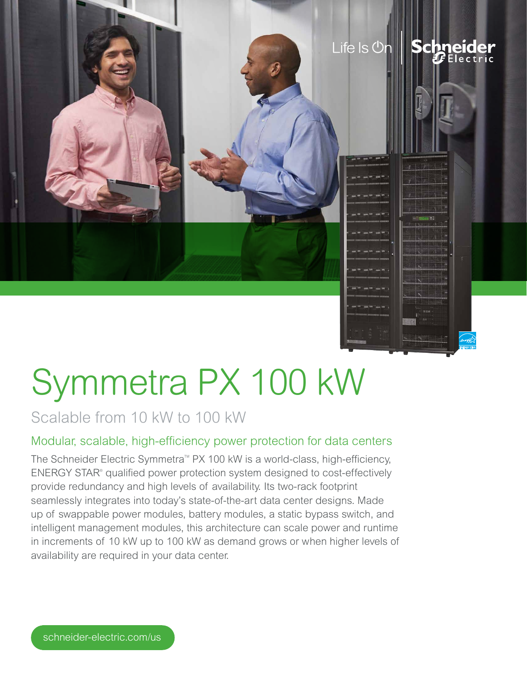

# Scalable from 10 kW to 100 kW

## Modular, scalable, high-efficiency power protection for data centers

The Schneider Electric Symmetra™ PX 100 kW is a world-class, high-efficiency, ENERGY STAR® qualified power protection system designed to cost-effectively provide redundancy and high levels of availability. Its two-rack footprint seamlessly integrates into today's state-of-the-art data center designs. Made up of swappable power modules, battery modules, a static bypass switch, and intelligent management modules, this architecture can scale power and runtime in increments of 10 kW up to 100 kW as demand grows or when higher levels of availability are required in your data center.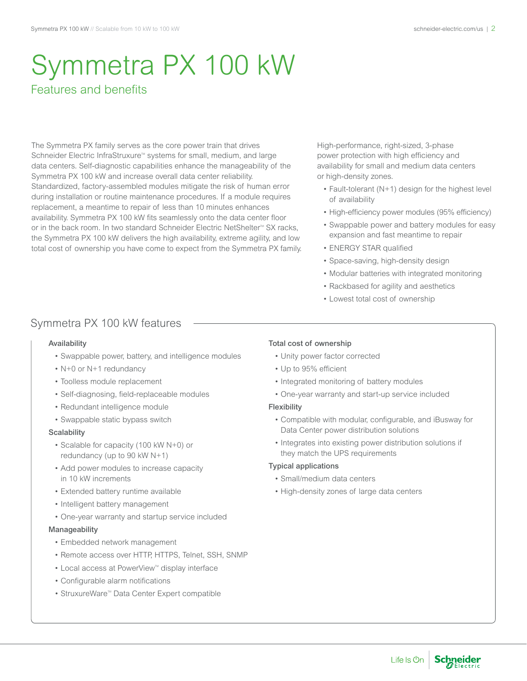# Symmetra PX 100 kW Features and benefits

The Symmetra PX family serves as the core power train that drives Schneider Electric InfraStruxure™ systems for small, medium, and large data centers. Self-diagnostic capabilities enhance the manageability of the Symmetra PX 100 kW and increase overall data center reliability. Standardized, factory-assembled modules mitigate the risk of human error during installation or routine maintenance procedures. If a module requires replacement, a meantime to repair of less than 10 minutes enhances availability. Symmetra PX 100 kW fits seamlessly onto the data center floor or in the back room. In two standard Schneider Electric NetShelter<sup>™</sup> SX racks, the Symmetra PX 100 kW delivers the high availability, extreme agility, and low total cost of ownership you have come to expect from the Symmetra PX family. High-performance, right-sized, 3-phase power protection with high efficiency and availability for small and medium data centers or high-density zones.

- Fault-tolerant (N+1) design for the highest level of availability
- High-efficiency power modules (95% efficiency)
- • Swappable power and battery modules for easy expansion and fast meantime to repair
- ENERGY STAR qualified
- Space-saving, high-density design
- • Modular batteries with integrated monitoring
- • Rackbased for agility and aesthetics
- • Lowest total cost of ownership

### Symmetra PX 100 kW features

#### Availability

- Swappable power, battery, and intelligence modules
- N+0 or N+1 redundancy
- • Toolless module replacement
- • Self-diagnosing, field-replaceable modules
- Redundant intelligence module
- Swappable static bypass switch

#### **Scalability**

- • Scalable for capacity (100 kW N+0) or redundancy (up to 90 kW N+1)
- • Add power modules to increase capacity in 10 kW increments
- Extended battery runtime available
- Intelligent battery management
- One-year warranty and startup service included

#### Manageability

- • Embedded network management
- Remote access over HTTP, HTTPS, Telnet, SSH, SNMP
- Local access at PowerView<sup>™</sup> display interface
- • Configurable alarm notifications
- StruxureWare™ Data Center Expert compatible

#### Total cost of ownership

- Unity power factor corrected
- • Up to 95% efficient
- Integrated monitoring of battery modules
- One-year warranty and start-up service included

#### Flexibility

- • Compatible with modular, configurable, and iBusway for Data Center power distribution solutions
- Integrates into existing power distribution solutions if they match the UPS requirements

#### Typical applications

- • Small/medium data centers
- High-density zones of large data centers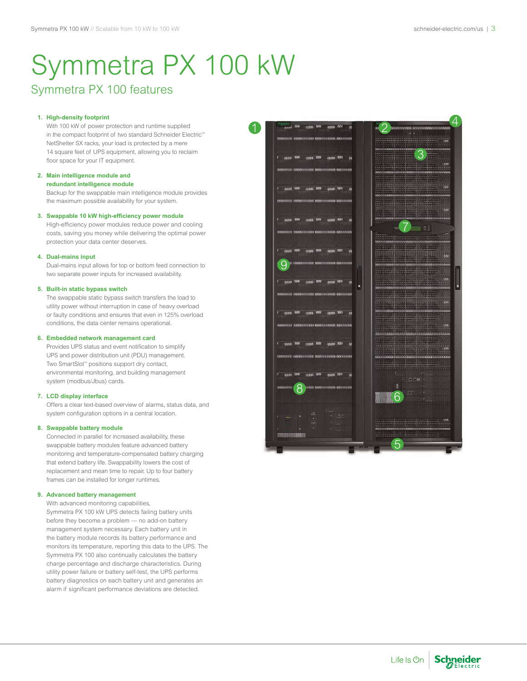### Symmetra PX 100 features

#### **1. High-density footprint**

With 100 kW of power protection and runtime supplied in the compact footprint of two standard Schneider Electric<sup>®</sup> NetShelter SX racks, your load is protected by a mere 14 square feet of UPS equipment, allowing you to reclaim floor space for your IT equipment.

#### **2. Main intelligence module and**

#### **redundant intelligence module**

Backup for the swappable main intelligence module provides the maximum possible availability for your system.

#### **3. Swappable 10 kW high-efficiency power module**

High-efficiency power modules reduce power and cooling costs, saving you money while delivering the optimal power protection your data center deserves.

#### **4. Dual-mains input**

Dual-mains input allows for top or bottom feed connection to two separate power inputs for increased availability.

#### **5. Built-in static bypass switch**

The swappable static bypass switch transfers the load to utility power without interruption in case of heavy overload or faulty conditions and ensures that even in 125% overload conditions, the data center remains operational.

#### **6. Embedded network management card**

Provides UPS status and event notification to simplify UPS and power distribution unit (PDU) management. Two SmartSlot<sup>™</sup> positions support dry contact, environmental monitoring, and building management system (modbus/Jbus) cards.

#### **7. LCD display interface**

Offers a clear text-based overview of alarms, status data, and system configuration options in a central location.

#### **8. Swappable battery module**

Connected in parallel for increased availability, these swappable battery modules feature advanced battery monitoring and temperature-compensated battery charging that extend battery life. Swappability lowers the cost of replacement and mean time to repair. Up to four battery frames can be installed for longer runtimes.

#### **9. Advanced battery management**

With advanced monitoring capabilities, Symmetra PX 100 kW UPS detects failing battery units before they become a problem — no add-on battery management system necessary. Each battery unit in the battery module records its battery performance and monitors its temperature, reporting this data to the UPS. The Symmetra PX 100 also continually calculates the battery charge percentage and discharge characteristics. During utility power failure or battery self-test, the UPS performs battery diagnostics on each battery unit and generates an alarm if significant performance deviations are detected.

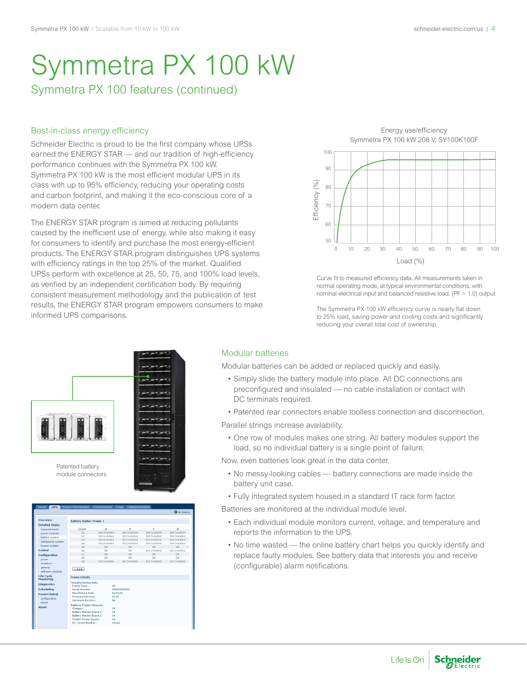## Symmetra PX 100 features (continued)

#### Best-in-class energy efficiency

Schneider Electric is proud to be the first company whose UPSs earned the ENERGY STAR — and our tradition of high-efficiency performance continues with the Symmetra PX 100 kW. Symmetra PX 100 kW is the most efficient modular UPS in its class with up to 95% efficiency, reducing your operating costs and carbon footprint, and making it the eco-conscious core of a modern data center.

The ENERGY STAR program is aimed at reducing pollutants caused by the inefficient use of energy, while also making it easy for consumers to identify and purchase the most energy-efficient products. The ENERGY STAR program distinguishes UPS systems with efficiency ratings in the top 25% of the market. Qualified UPSs perform with excellence at 25, 50, 75, and 100% load levels, as verified by an independent certification body. By requiring consistent measurement methodology and the publication of test results, the ENERGY STAR program empowers consumers to make informed UPS comparisons.



Curve fit to measured efficiency data. All measurements taken in normal operating mode, at typical environmental conditions, with nominal electrical input and balanced resistive load. ( $PF = 1.0$ ) output

The Symmetra PX 100 kW efficiency curve is nearly flat down to 25% load, saving power and cooling costs and significantly reducing your overall total cost of ownership.



#### Modular batteries

Modular batteries can be added or replaced quickly and easily.

- Simply slide the battery module into place. All DC connections are preconfigured and insulated — no cable installation or contact with DC terminals required.
- Patented rear connectors enable toolless connection and disconnection.

Parallel strings increase availability.

• One row of modules makes one string. All battery modules support the load, so no individual battery is a single point of failure.

Now, even batteries look great in the data center.

- No messy-looking cables battery connections are made inside the battery unit case.
- Fully integrated system housed in a standard IT rack form factor.

Batteries are monitored at the individual module level.

- Each individual module monitors current, voltage, and temperature and reports the information to the UPS.
- No time wasted the online battery chart helps you quickly identify and replace faulty modules. See battery data that interests you and receive (configurable) alarm notifications.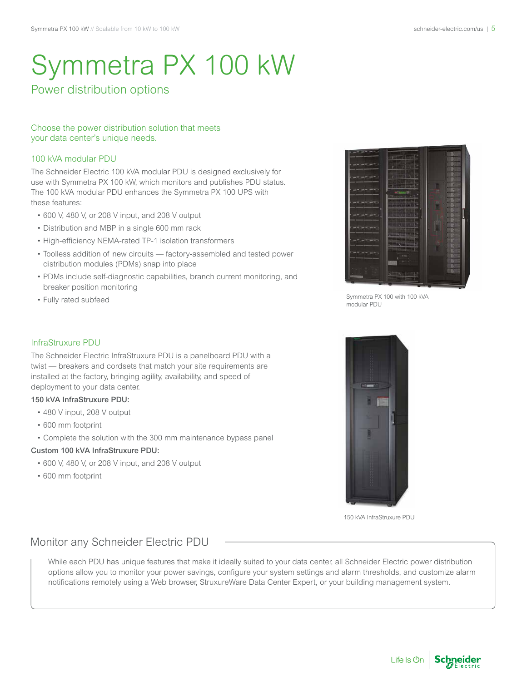### Power distribution options

#### Choose the power distribution solution that meets your data center's unique needs.

#### 100 kVA modular PDU

The Schneider Electric 100 kVA modular PDU is designed exclusively for use with Symmetra PX 100 kW, which monitors and publishes PDU status. The 100 kVA modular PDU enhances the Symmetra PX 100 UPS with these features:

- • 600 V, 480 V, or 208 V input, and 208 V output
- • Distribution and MBP in a single 600 mm rack
- High-efficiency NEMA-rated TP-1 isolation transformers
- • Toolless addition of new circuits factory-assembled and tested power distribution modules (PDMs) snap into place
- PDMs include self-diagnostic capabilities, branch current monitoring, and breaker position monitoring
- • Fully rated subfeed



Symmetra PX 100 with 100 kVA modular PDU



150 kVA InfraStruxure PDU

#### InfraStruxure PDU

The Schneider Electric InfraStruxure PDU is a panelboard PDU with a twist — breakers and cordsets that match your site requirements are installed at the factory, bringing agility, availability, and speed of deployment to your data center.

#### 150 kVA InfraStruxure PDU:

- • 480 V input, 208 V output
- • 600 mm footprint
- • Complete the solution with the 300 mm maintenance bypass panel

#### Custom 100 kVA InfraStruxure PDU:

- • 600 V, 480 V, or 208 V input, and 208 V output
- • 600 mm footprint

### Monitor any Schneider Electric PDU

While each PDU has unique features that make it ideally suited to your data center, all Schneider Electric power distribution options allow you to monitor your power savings, configure your system settings and alarm thresholds, and customize alarm notifications remotely using a Web browser, StruxureWare Data Center Expert, or your building management system.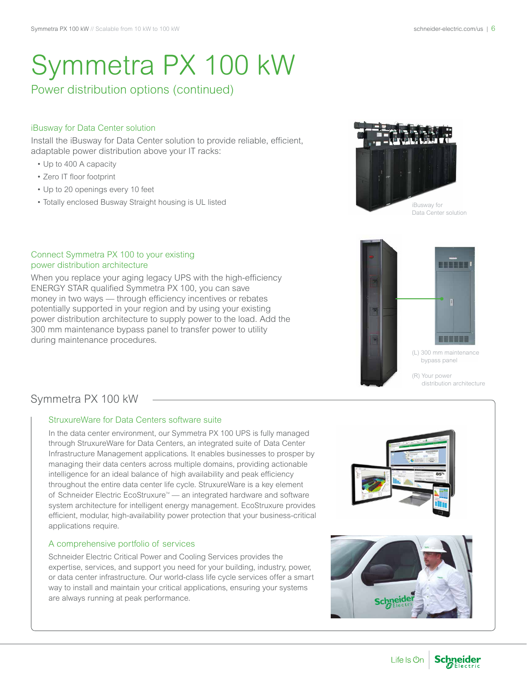## Power distribution options (continued)

### iBusway for Data Center solution

Install the iBusway for Data Center solution to provide reliable, efficient, adaptable power distribution above your IT racks:

- • Up to 400 A capacity
- • Zero IT floor footprint
- Up to 20 openings every 10 feet
- Totally enclosed Busway Straight housing is UL listed





(L) 300 mm maintenance bypass panel (R) Your power

distribution architecture

**BEEEK** 

#### Connect Symmetra PX 100 to your existing power distribution architecture

When you replace your aging legacy UPS with the high-efficiency ENERGY STAR qualified Symmetra PX 100, you can save money in two ways — through efficiency incentives or rebates potentially supported in your region and by using your existing power distribution architecture to supply power to the load. Add the 300 mm maintenance bypass panel to transfer power to utility during maintenance procedures.



#### StruxureWare for Data Centers software suite

In the data center environment, our Symmetra PX 100 UPS is fully managed through StruxureWare for Data Centers, an integrated suite of Data Center Infrastructure Management applications. It enables businesses to prosper by managing their data centers across multiple domains, providing actionable intelligence for an ideal balance of high availability and peak efficiency throughout the entire data center life cycle. StruxureWare is a key element of Schneider Electric EcoStruxure<sup>™</sup> — an integrated hardware and software system architecture for intelligent energy management. EcoStruxure provides efficient, modular, high-availability power protection that your business-critical applications require.

#### A comprehensive portfolio of services

Schneider Electric Critical Power and Cooling Services provides the expertise, services, and support you need for your building, industry, power, or data center infrastructure. Our world-class life cycle services offer a smart way to install and maintain your critical applications, ensuring your systems are always running at peak performance.



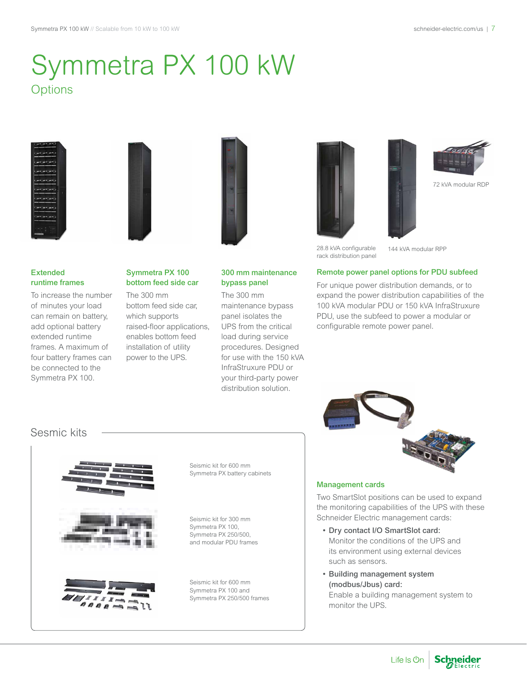# Symmetra PX 100 kW **Options**





#### Extended runtime frames

To increase the number of minutes your load can remain on battery, add optional battery extended runtime frames. A maximum of four battery frames can be connected to the Symmetra PX 100.



The 300 mm bottom feed side car, which supports raised-floor applications, enables bottom feed installation of utility power to the UPS.



#### 300 mm maintenance bypass panel

The 300 mm maintenance bypass panel isolates the UPS from the critical load during service procedures. Designed for use with the 150 kVA InfraStruxure PDU or your third-party power distribution solution.





28.8 kVA configurable rack distribution panel

144 kVA modular RPP

#### Remote power panel options for PDU subfeed

For unique power distribution demands, or to expand the power distribution capabilities of the 100 kVA modular PDU or 150 kVA InfraStruxure PDU, use the subfeed to power a modular or configurable remote power panel.





Seismic kit for 600 mm Symmetra PX battery cabinets

Seismic kit for 300 mm Symmetra PX 100, Symmetra PX 250/500, and modular PDU frames

Seismic kit for 600 mm Symmetra PX 100 and Symmetra PX 250/500 frames



#### Management cards

Two SmartSlot positions can be used to expand the monitoring capabilities of the UPS with these Schneider Electric management cards:

- Dry contact I/O SmartSlot card: Monitor the conditions of the UPS and its environment using external devices such as sensors.
- • Building management system (modbus/Jbus) card: Enable a building management system to monitor the UPS.